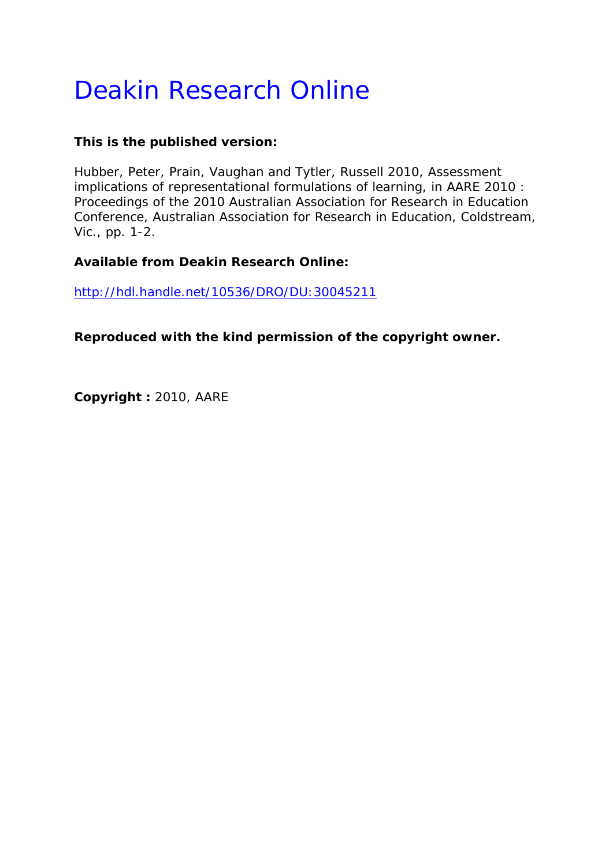# Deakin Research Online

### **This is the published version:**

Hubber, Peter, Prain, Vaughan and Tytler, Russell 2010, Assessment implications of representational formulations of learning*, in AARE 2010 : Proceedings of the 2010 Australian Association for Research in Education Conference*, Australian Association for Research in Education, Coldstream, Vic., pp. 1-2.

## **Available from Deakin Research Online:**

http://hdl.handle.net/10536/DRO/DU:30045211

**Reproduced with the kind permission of the copyright owner.** 

**Copyright :** 2010, AARE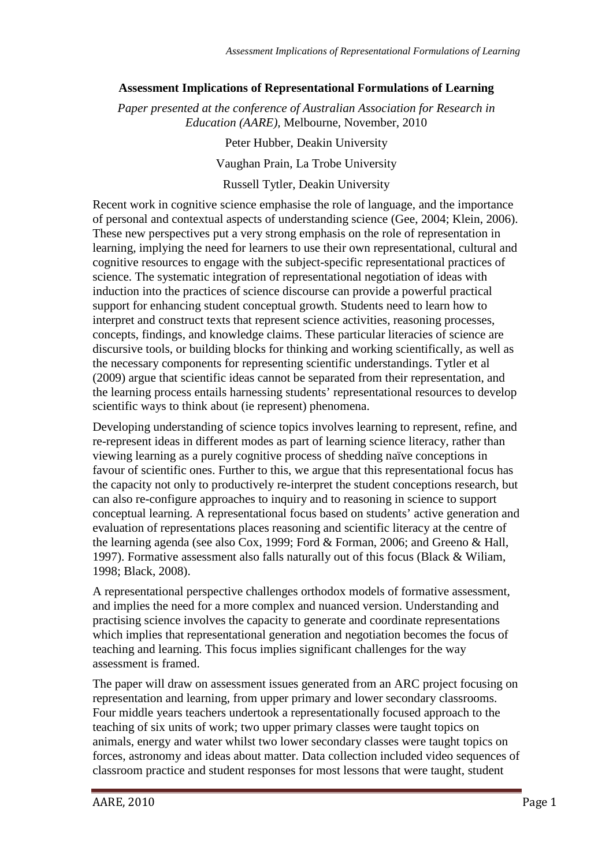#### **Assessment Implications of Representational Formulations of Learning**

*Paper presented at the conference of Australian Association for Research in Education (AARE),* Melbourne, November, 2010

> Peter Hubber, Deakin University Vaughan Prain, La Trobe University Russell Tytler, Deakin University

Recent work in cognitive science emphasise the role of language, and the importance of personal and contextual aspects of understanding science (Gee, 2004; Klein, 2006). These new perspectives put a very strong emphasis on the role of representation in learning, implying the need for learners to use their own representational, cultural and cognitive resources to engage with the subject-specific representational practices of science. The systematic integration of representational negotiation of ideas with induction into the practices of science discourse can provide a powerful practical support for enhancing student conceptual growth. Students need to learn how to interpret and construct texts that represent science activities, reasoning processes, concepts, findings, and knowledge claims. These particular literacies of science are discursive tools, or building blocks for thinking and working scientifically, as well as the necessary components for representing scientific understandings. Tytler et al (2009) argue that scientific ideas cannot be separated from their representation, and the learning process entails harnessing students' representational resources to develop scientific ways to think about (ie represent) phenomena.

Developing understanding of science topics involves learning to represent, refine, and re-represent ideas in different modes as part of learning science literacy, rather than viewing learning as a purely cognitive process of shedding naïve conceptions in favour of scientific ones. Further to this, we argue that this representational focus has the capacity not only to productively re-interpret the student conceptions research, but can also re-configure approaches to inquiry and to reasoning in science to support conceptual learning. A representational focus based on students' active generation and evaluation of representations places reasoning and scientific literacy at the centre of the learning agenda (see also Cox, 1999; Ford & Forman, 2006; and Greeno & Hall, 1997). Formative assessment also falls naturally out of this focus (Black & Wiliam, 1998; Black, 2008).

A representational perspective challenges orthodox models of formative assessment, and implies the need for a more complex and nuanced version. Understanding and practising science involves the capacity to generate and coordinate representations which implies that representational generation and negotiation becomes the focus of teaching and learning. This focus implies significant challenges for the way assessment is framed.

The paper will draw on assessment issues generated from an ARC project focusing on representation and learning, from upper primary and lower secondary classrooms. Four middle years teachers undertook a representationally focused approach to the teaching of six units of work; two upper primary classes were taught topics on animals, energy and water whilst two lower secondary classes were taught topics on forces, astronomy and ideas about matter. Data collection included video sequences of classroom practice and student responses for most lessons that were taught, student